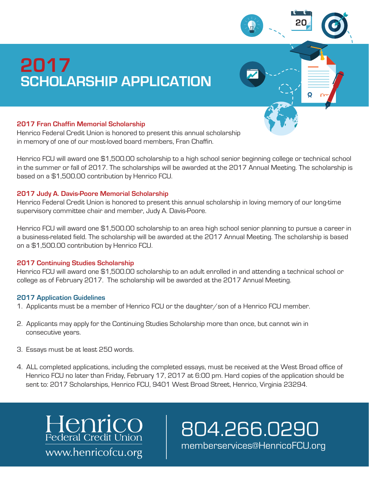# **SCHOLARSHIP APPLICATION 2017**

### **2017 Fran Chaffin Memorial Scholarship**

Henrico Federal Credit Union is honored to present this annual scholarship in memory of one of our most-loved board members, Fran Chaffin.

Henrico FCU will award one \$1,500.00 scholarship to a high school senior beginning college or technical school in the summer or fall of 2017. The scholarships will be awarded at the 2017 Annual Meeting. The scholarship is based on a \$1,500.00 contribution by Henrico FCU.

#### **2017 Judy A. Davis-Poore Memorial Scholarship**

Henrico Federal Credit Union is honored to present this annual scholarship in loving memory of our long-time supervisory committee chair and member, Judy A. Davis-Poore.

Henrico FCU will award one \$1,500.00 scholarship to an area high school senior planning to pursue a career in a business-related field. The scholarship will be awarded at the 2017 Annual Meeting. The scholarship is based on a \$1,500.00 contribution by Henrico FCU.

#### **2017 Continuing Studies Scholarship**

Henrico FCU will award one \$1,500.00 scholarship to an adult enrolled in and attending a technical school or college as of February 2017. The scholarship will be awarded at the 2017 Annual Meeting.

#### **2017 Application Guidelines**

- 1. Applicants must be a member of Henrico FCU or the daughter/son of a Henrico FCU member.
- 2. Applicants may apply for the Continuing Studies Scholarship more than once, but cannot win in consecutive years.
- 3. Essays must be at least 250 words.
- 4. ALL completed applications, including the completed essays, must be received at the West Broad office of Henrico FCU no later than Friday, February 17, 2017 at 6:00 pm. Hard copies of the application should be sent to: 2017 Scholarships, Henrico FCU, 9401 West Broad Street, Henrico, Virginia 23294.

Henrico<br>Federal Credit Union www.henricofcu.org

804.266.0290 memberservices@HenricoFCU.org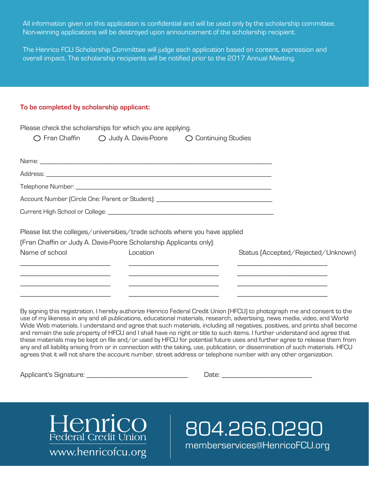All information given on this application is confidential and will be used only by the scholarship committee. Non-winning applications will be destroyed upon announcement of the scholarship recipient.

The Henrico FCU Scholarship Committee will judge each application based on content, expression and overall impact. The scholarship recipients will be notified prior to the 2017 Annual Meeting.

#### **To be completed by scholarship applicant:**

|                | Please check the scholarships for which you are applying.                  |                                                                                   |                                    |
|----------------|----------------------------------------------------------------------------|-----------------------------------------------------------------------------------|------------------------------------|
|                | ○ Fran Chaffin ○ Judy A. Davis-Poore ○ Continuing Studies                  |                                                                                   |                                    |
|                |                                                                            |                                                                                   |                                    |
|                |                                                                            |                                                                                   |                                    |
|                |                                                                            |                                                                                   |                                    |
|                |                                                                            | Account Number (Circle One: Parent or Student): _________________________________ |                                    |
|                |                                                                            |                                                                                   |                                    |
|                | Please list the colleges/universities/trade schools where you have applied |                                                                                   |                                    |
|                | [Fran Chaffin or Judy A. Davis-Poore Scholarship Applicants only]:         |                                                                                   |                                    |
| Name of school | Location                                                                   |                                                                                   | Status [Accepted/Rejected/Unknown] |
|                |                                                                            |                                                                                   |                                    |
|                |                                                                            |                                                                                   |                                    |
|                |                                                                            |                                                                                   |                                    |

By signing this registration, I hereby authorize Henrico Federal Credit Union (HFCU) to photograph me and consent to the use of my likeness in any and all publications, educational materials, research, advertising, news media, video, and World Wide Web materials. I understand and agree that such materials, including all negatives, positives, and prints shall become and remain the sole property of HFCU and I shall have no right or title to such items. I further understand and agree that these materials may be kept on file and/or used by HFCU for potential future uses and further agree to release them from any and all liability arising from or in connection with the taking, use, publication, or dissemination of such materials. HFCU agrees that it will not share the account number, street address or telephone number with any other organization.

Applicant's Signature: \_\_\_\_\_\_\_\_\_\_\_\_\_\_\_\_\_\_\_\_\_\_\_\_\_\_\_\_\_\_\_\_\_\_ Date: \_\_\_\_\_\_\_\_\_\_\_\_\_\_\_\_



804.266.0290 memberservices@HenricoFCU.org